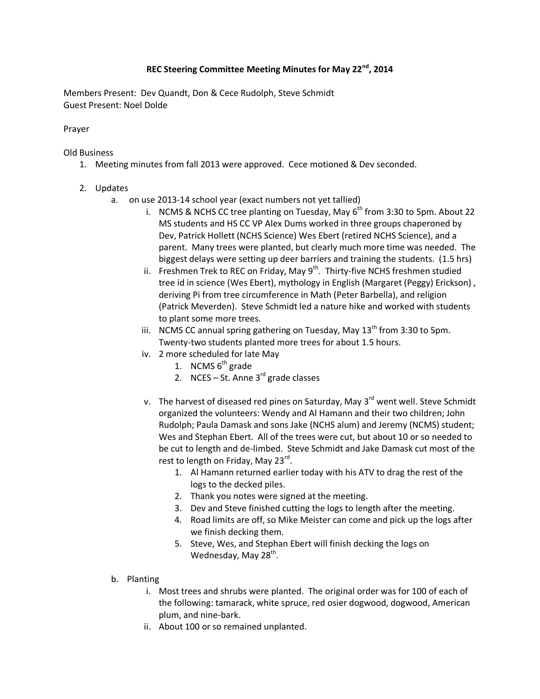## **REC Steering Committee Meeting Minutes for May 22nd, 2014**

Members Present: Dev Quandt, Don & Cece Rudolph, Steve Schmidt Guest Present: Noel Dolde

Prayer

Old Business

- 1. Meeting minutes from fall 2013 were approved. Cece motioned & Dev seconded.
- 2. Updates
	- a. on use 2013-14 school year (exact numbers not yet tallied)
		- i. NCMS & NCHS CC tree planting on Tuesday, May  $6<sup>th</sup>$  from 3:30 to 5pm. About 22 MS students and HS CC VP Alex Dums worked in three groups chaperoned by Dev, Patrick Hollett (NCHS Science) Wes Ebert (retired NCHS Science), and a parent. Many trees were planted, but clearly much more time was needed. The biggest delays were setting up deer barriers and training the students. (1.5 hrs)
		- ii. Freshmen Trek to REC on Friday, May  $9<sup>th</sup>$ . Thirty-five NCHS freshmen studied tree id in science (Wes Ebert), mythology in English (Margaret (Peggy) Erickson) , deriving Pi from tree circumference in Math (Peter Barbella), and religion (Patrick Meverden). Steve Schmidt led a nature hike and worked with students to plant some more trees.
		- iii. NCMS CC annual spring gathering on Tuesday, May  $13<sup>th</sup>$  from 3:30 to 5pm. Twenty-two students planted more trees for about 1.5 hours.
		- iv. 2 more scheduled for late May
			- 1. NCMS  $6<sup>th</sup>$  grade
			- 2. NCES St. Anne  $3<sup>rd</sup>$  grade classes
		- v. The harvest of diseased red pines on Saturday, May  $3<sup>rd</sup>$  went well. Steve Schmidt organized the volunteers: Wendy and Al Hamann and their two children; John Rudolph; Paula Damask and sons Jake (NCHS alum) and Jeremy (NCMS) student; Wes and Stephan Ebert. All of the trees were cut, but about 10 or so needed to be cut to length and de-limbed. Steve Schmidt and Jake Damask cut most of the rest to length on Friday, May 23<sup>rd</sup>.
			- 1. Al Hamann returned earlier today with his ATV to drag the rest of the logs to the decked piles.
			- 2. Thank you notes were signed at the meeting.
			- 3. Dev and Steve finished cutting the logs to length after the meeting.
			- 4. Road limits are off, so Mike Meister can come and pick up the logs after we finish decking them.
			- 5. Steve, Wes, and Stephan Ebert will finish decking the logs on Wednesday, May 28<sup>th</sup>.
	- b. Planting
		- i. Most trees and shrubs were planted. The original order was for 100 of each of the following: tamarack, white spruce, red osier dogwood, dogwood, American plum, and nine-bark.
		- ii. About 100 or so remained unplanted.